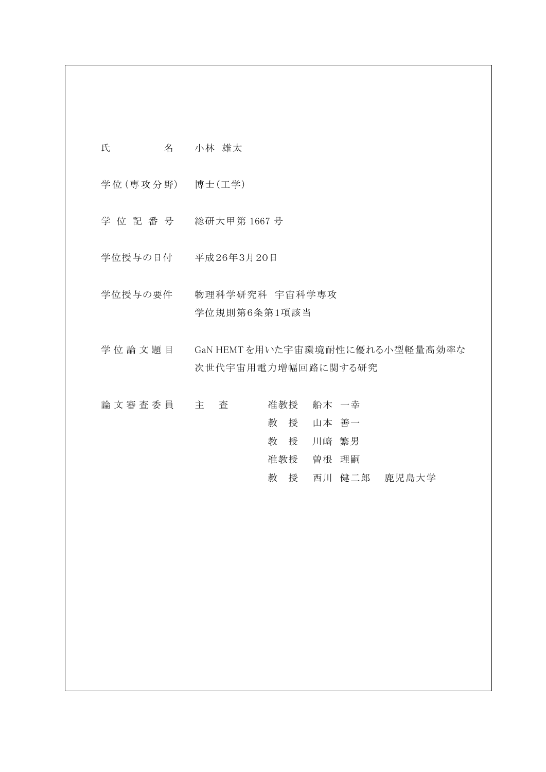氏 名 小林 雄太

学 位 (専 攻 分 野) 博士(工学)

学 位 記 番 号 総研大甲第 1667 号

学位授与の日付 平成26年3月20日

学位授与の要件 物理科学研究科 宇宙科学専攻 学位規則第6条第1項該当

学 位 論 文 題 目 GaN HEMT を用いた宇宙環境耐性に優れる小型軽量高効率な 次世代宇宙用電力増幅回路に関する研究

|  |  | 論 文 審 査 委 員 主 | 査 |    | 准教授 船木 一幸 |              |
|--|--|---------------|---|----|-----------|--------------|
|  |  |               |   |    | 教授 山本 善一  |              |
|  |  |               |   |    | 教 授 川﨑 繁男 |              |
|  |  |               |   |    | 准教授 曽根 理嗣 |              |
|  |  |               |   | 教授 |           | 西川 健二郎 鹿児島大学 |
|  |  |               |   |    |           |              |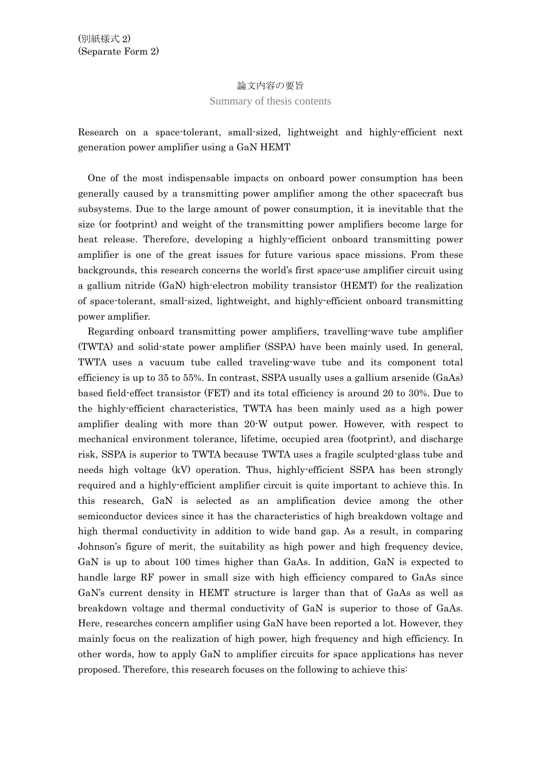## 論文内容の要旨

## Summary of thesis contents

Research on a space-tolerant, small-sized, lightweight and highly-efficient next generation power amplifier using a GaN HEMT

One of the most indispensable impacts on onboard power consumption has been generally caused by a transmitting power amplifier among the other spacecraft bus subsystems. Due to the large amount of power consumption, it is inevitable that the size (or footprint) and weight of the transmitting power amplifiers become large for heat release. Therefore, developing a highly-efficient onboard transmitting power amplifier is one of the great issues for future various space missions. From these backgrounds, this research concerns the world's first space-use amplifier circuit using a gallium nitride (GaN) high-electron mobility transistor (HEMT) for the realization of space-tolerant, small-sized, lightweight, and highly-efficient onboard transmitting power amplifier.

 Regarding onboard transmitting power amplifiers, travelling-wave tube amplifier (TWTA) and solid-state power amplifier (SSPA) have been mainly used. In general, TWTA uses a vacuum tube called traveling-wave tube and its component total efficiency is up to 35 to 55%. In contrast, SSPA usually uses a gallium arsenide (GaAs) based field-effect transistor (FET) and its total efficiency is around 20 to 30%. Due to the highly-efficient characteristics, TWTA has been mainly used as a high power amplifier dealing with more than 20-W output power. However, with respect to mechanical environment tolerance, lifetime, occupied area (footprint), and discharge risk, SSPA is superior to TWTA because TWTA uses a fragile sculpted-glass tube and needs high voltage (kV) operation. Thus, highly-efficient SSPA has been strongly required and a highly-efficient amplifier circuit is quite important to achieve this. In this research, GaN is selected as an amplification device among the other semiconductor devices since it has the characteristics of high breakdown voltage and high thermal conductivity in addition to wide band gap. As a result, in comparing Johnson's figure of merit, the suitability as high power and high frequency device, GaN is up to about 100 times higher than GaAs. In addition, GaN is expected to handle large RF power in small size with high efficiency compared to GaAs since GaN's current density in HEMT structure is larger than that of GaAs as well as breakdown voltage and thermal conductivity of GaN is superior to those of GaAs. Here, researches concern amplifier using GaN have been reported a lot. However, they mainly focus on the realization of high power, high frequency and high efficiency. In other words, how to apply GaN to amplifier circuits for space applications has never proposed. Therefore, this research focuses on the following to achieve this: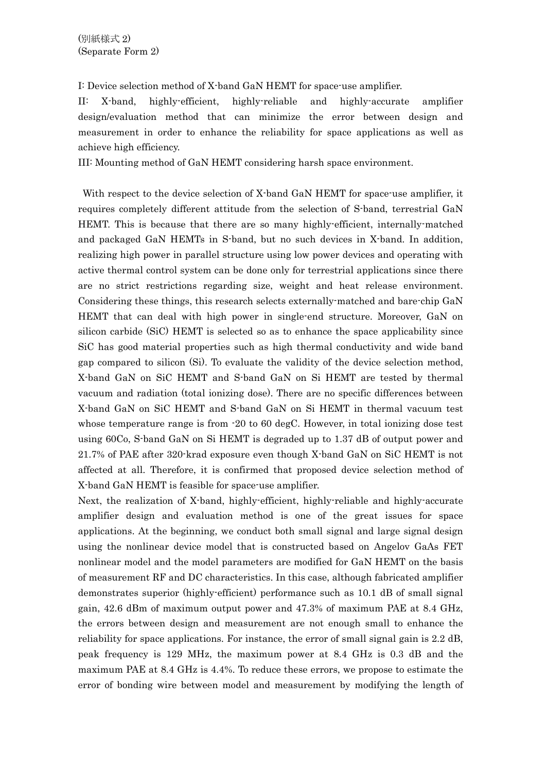I: Device selection method of X-band GaN HEMT for space-use amplifier.

II: X-band, highly-efficient, highly-reliable and highly-accurate amplifier design/evaluation method that can minimize the error between design and measurement in order to enhance the reliability for space applications as well as achieve high efficiency.

III: Mounting method of GaN HEMT considering harsh space environment.

 With respect to the device selection of X-band GaN HEMT for space-use amplifier, it requires completely different attitude from the selection of S-band, terrestrial GaN HEMT. This is because that there are so many highly-efficient, internally-matched and packaged GaN HEMTs in S-band, but no such devices in X-band. In addition, realizing high power in parallel structure using low power devices and operating with active thermal control system can be done only for terrestrial applications since there are no strict restrictions regarding size, weight and heat release environment. Considering these things, this research selects externally-matched and bare-chip GaN HEMT that can deal with high power in single-end structure. Moreover, GaN on silicon carbide (SiC) HEMT is selected so as to enhance the space applicability since SiC has good material properties such as high thermal conductivity and wide band gap compared to silicon (Si). To evaluate the validity of the device selection method, X-band GaN on SiC HEMT and S-band GaN on Si HEMT are tested by thermal vacuum and radiation (total ionizing dose). There are no specific differences between X-band GaN on SiC HEMT and S-band GaN on Si HEMT in thermal vacuum test whose temperature range is from -20 to 60 degC. However, in total ionizing dose test using 60Co, S-band GaN on Si HEMT is degraded up to 1.37 dB of output power and 21.7% of PAE after 320-krad exposure even though X-band GaN on SiC HEMT is not affected at all. Therefore, it is confirmed that proposed device selection method of X-band GaN HEMT is feasible for space-use amplifier.

Next, the realization of X-band, highly-efficient, highly-reliable and highly-accurate amplifier design and evaluation method is one of the great issues for space applications. At the beginning, we conduct both small signal and large signal design using the nonlinear device model that is constructed based on Angelov GaAs FET nonlinear model and the model parameters are modified for GaN HEMT on the basis of measurement RF and DC characteristics. In this case, although fabricated amplifier demonstrates superior (highly-efficient) performance such as 10.1 dB of small signal gain, 42.6 dBm of maximum output power and 47.3% of maximum PAE at 8.4 GHz, the errors between design and measurement are not enough small to enhance the reliability for space applications. For instance, the error of small signal gain is 2.2 dB, peak frequency is 129 MHz, the maximum power at 8.4 GHz is 0.3 dB and the maximum PAE at 8.4 GHz is 4.4%. To reduce these errors, we propose to estimate the error of bonding wire between model and measurement by modifying the length of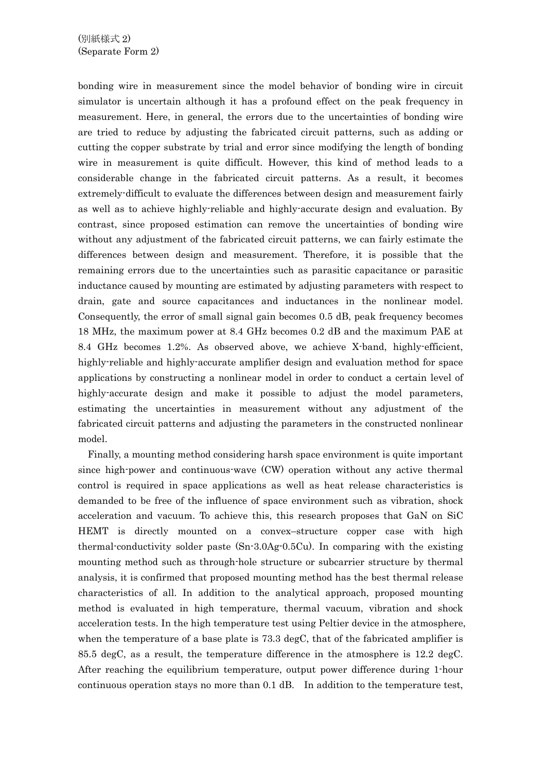bonding wire in measurement since the model behavior of bonding wire in circuit simulator is uncertain although it has a profound effect on the peak frequency in measurement. Here, in general, the errors due to the uncertainties of bonding wire are tried to reduce by adjusting the fabricated circuit patterns, such as adding or cutting the copper substrate by trial and error since modifying the length of bonding wire in measurement is quite difficult. However, this kind of method leads to a considerable change in the fabricated circuit patterns. As a result, it becomes extremely-difficult to evaluate the differences between design and measurement fairly as well as to achieve highly-reliable and highly-accurate design and evaluation. By contrast, since proposed estimation can remove the uncertainties of bonding wire without any adjustment of the fabricated circuit patterns, we can fairly estimate the differences between design and measurement. Therefore, it is possible that the remaining errors due to the uncertainties such as parasitic capacitance or parasitic inductance caused by mounting are estimated by adjusting parameters with respect to drain, gate and source capacitances and inductances in the nonlinear model. Consequently, the error of small signal gain becomes 0.5 dB, peak frequency becomes 18 MHz, the maximum power at 8.4 GHz becomes 0.2 dB and the maximum PAE at 8.4 GHz becomes 1.2%. As observed above, we achieve X-band, highly-efficient, highly-reliable and highly-accurate amplifier design and evaluation method for space applications by constructing a nonlinear model in order to conduct a certain level of highly-accurate design and make it possible to adjust the model parameters, estimating the uncertainties in measurement without any adjustment of the fabricated circuit patterns and adjusting the parameters in the constructed nonlinear model.

 Finally, a mounting method considering harsh space environment is quite important since high-power and continuous-wave (CW) operation without any active thermal control is required in space applications as well as heat release characteristics is demanded to be free of the influence of space environment such as vibration, shock acceleration and vacuum. To achieve this, this research proposes that GaN on SiC HEMT is directly mounted on a convex–structure copper case with high thermal-conductivity solder paste (Sn-3.0Ag-0.5Cu). In comparing with the existing mounting method such as through-hole structure or subcarrier structure by thermal analysis, it is confirmed that proposed mounting method has the best thermal release characteristics of all. In addition to the analytical approach, proposed mounting method is evaluated in high temperature, thermal vacuum, vibration and shock acceleration tests. In the high temperature test using Peltier device in the atmosphere, when the temperature of a base plate is 73.3 degC, that of the fabricated amplifier is 85.5 degC, as a result, the temperature difference in the atmosphere is 12.2 degC. After reaching the equilibrium temperature, output power difference during 1-hour continuous operation stays no more than 0.1 dB. In addition to the temperature test,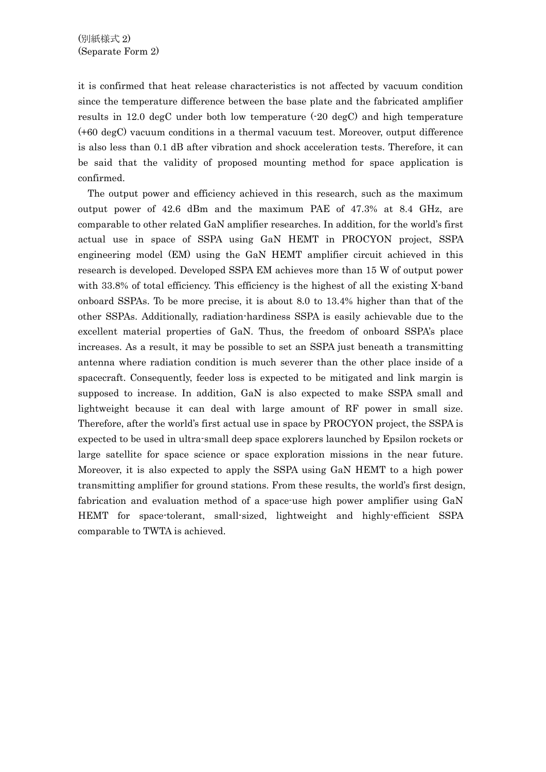it is confirmed that heat release characteristics is not affected by vacuum condition since the temperature difference between the base plate and the fabricated amplifier results in 12.0 degC under both low temperature  $(-20 \text{ degC})$  and high temperature (+60 degC) vacuum conditions in a thermal vacuum test. Moreover, output difference is also less than 0.1 dB after vibration and shock acceleration tests. Therefore, it can be said that the validity of proposed mounting method for space application is confirmed.

 The output power and efficiency achieved in this research, such as the maximum output power of 42.6 dBm and the maximum PAE of 47.3% at 8.4 GHz, are comparable to other related GaN amplifier researches. In addition, for the world's first actual use in space of SSPA using GaN HEMT in PROCYON project, SSPA engineering model (EM) using the GaN HEMT amplifier circuit achieved in this research is developed. Developed SSPA EM achieves more than 15 W of output power with 33.8% of total efficiency. This efficiency is the highest of all the existing X-band onboard SSPAs. To be more precise, it is about 8.0 to 13.4% higher than that of the other SSPAs. Additionally, radiation-hardiness SSPA is easily achievable due to the excellent material properties of GaN. Thus, the freedom of onboard SSPA's place increases. As a result, it may be possible to set an SSPA just beneath a transmitting antenna where radiation condition is much severer than the other place inside of a spacecraft. Consequently, feeder loss is expected to be mitigated and link margin is supposed to increase. In addition, GaN is also expected to make SSPA small and lightweight because it can deal with large amount of RF power in small size. Therefore, after the world's first actual use in space by PROCYON project, the SSPA is expected to be used in ultra-small deep space explorers launched by Epsilon rockets or large satellite for space science or space exploration missions in the near future. Moreover, it is also expected to apply the SSPA using GaN HEMT to a high power transmitting amplifier for ground stations. From these results, the world's first design, fabrication and evaluation method of a space-use high power amplifier using GaN HEMT for space-tolerant, small-sized, lightweight and highly-efficient SSPA comparable to TWTA is achieved.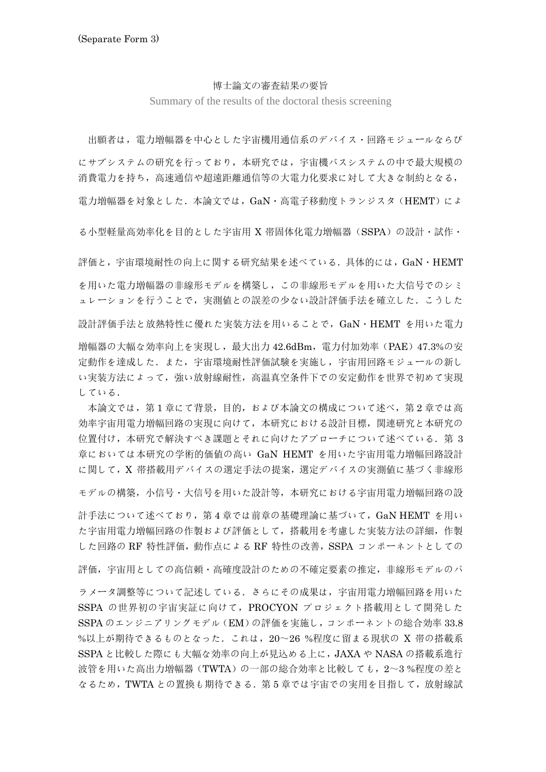## 博士論文の審査結果の要旨

Summary of the results of the doctoral thesis screening

出願者は,電力増幅器を中心とした宇宙機用通信系のデバイス・回路モジュールならび

にサブシステムの研究を行っており,本研究では,宇宙機バスシステムの中で最大規模の 消費電力を持ち,高速通信や超遠距離通信等の大電力化要求に対して大きな制約となる,

電力増幅器を対象とした.本論文では,GaN・高電子移動度トランジスタ(HEMT)によ

る小型軽量高効率化を目的とした宇宙用 X 帯固体化電力増幅器(SSPA)の設計・試作・

評価と,宇宙環境耐性の向上に関する研究結果を述べている.具体的には,GaN・HEMT を用いた電力増幅器の非線形モデルを構築し,この非線形モデルを用いた大信号でのシミ ュレーションを行うことで、実測値との誤差の少ない設計評価手法を確立した。こうした 設計評価手法と放熱特性に優れた実装方法を用いることで,GaN・HEMT を用いた電力 増幅器の大幅な効率向上を実現し,最大出力 42.6dBm,電力付加効率(PAE)47.3%の安 定動作を達成した.また,宇宙環境耐性評価試験を実施し,宇宙用回路モジュールの新し

い実装方法によって,強い放射線耐性,高温真空条件下での安定動作を世界で初めて実現 している.

 本論文では,第 1 章にて背景,目的,および本論文の構成について述べ,第 2 章では高 効率宇宙用電力増幅回路の実現に向けて,本研究における設計目標,関連研究と本研究の 位置付け,本研究で解決すべき課題とそれに向けたアプローチについて述べている.第 3 章においては本研究の学術的価値の高い GaN HEMT を用いた宇宙用電力増幅回路設計 に関して,X 帯搭載用デバイスの選定手法の提案,選定デバイスの実測値に基づく非線形

モデルの構築,小信号・大信号を用いた設計等,本研究における宇宙用電力増幅回路の設

計手法について述べており,第 4 章では前章の基礎理論に基づいて,GaN HEMT を用い た宇宙用電力増幅回路の作製および評価として,搭載用を考慮した実装方法の詳細,作製 した回路の RF 特性評価,動作点による RF 特性の改善, SSPA コンポーネントとしての

評価,宇宙用としての高信頼・高確度設計のための不確定要素の推定,非線形モデルのパ

ラメータ調整等について記述している.さらにその成果は,宇宙用電力増幅回路を用いた SSPA の世界初の宇宙実証に向けて,PROCYON プロジェクト搭載用として開発した SSPA のエンジニアリングモデル(EM)の評価を実施し,コンポーネントの総合効率 33.8 %以上が期待できるものとなった.これは, 20~26 %程度に留まる現状の X 帯の搭載系 SSPA と比較した際にも大幅な効率の向上が見込める上に,JAXA や NASA の搭載系進行 波管を用いた高出力増幅器(TWTA)の一部の総合効率と比較しても, 2~3%程度の差と なるため,TWTA との置換も期待できる.第 5 章では宇宙での実用を目指して,放射線試